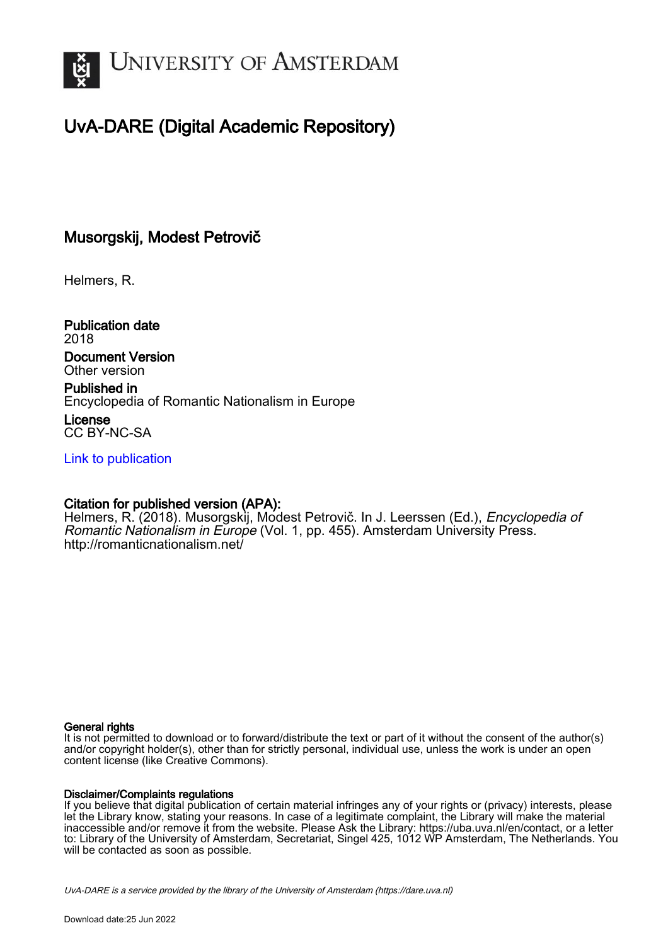

# UvA-DARE (Digital Academic Repository)

## Musorgskij, Modest Petrovič

Helmers, R.

Publication date 2018

Document Version Other version

Published in Encyclopedia of Romantic Nationalism in Europe License

CC BY-NC-SA

[Link to publication](https://dare.uva.nl/personal/pure/en/publications/musorgskij-modest-petrovi(112178be-5b0d-48d1-b831-de00518052da).html)

## Citation for published version (APA):

Helmers, R. (2018). Musorgskij, Modest Petrovič. In J. Leerssen (Ed.), Encyclopedia of Romantic Nationalism in Europe (Vol. 1, pp. 455). Amsterdam University Press. <http://romanticnationalism.net/>

#### General rights

It is not permitted to download or to forward/distribute the text or part of it without the consent of the author(s) and/or copyright holder(s), other than for strictly personal, individual use, unless the work is under an open content license (like Creative Commons).

#### Disclaimer/Complaints regulations

If you believe that digital publication of certain material infringes any of your rights or (privacy) interests, please let the Library know, stating your reasons. In case of a legitimate complaint, the Library will make the material inaccessible and/or remove it from the website. Please Ask the Library: https://uba.uva.nl/en/contact, or a letter to: Library of the University of Amsterdam, Secretariat, Singel 425, 1012 WP Amsterdam, The Netherlands. You will be contacted as soon as possible.

UvA-DARE is a service provided by the library of the University of Amsterdam (http*s*://dare.uva.nl)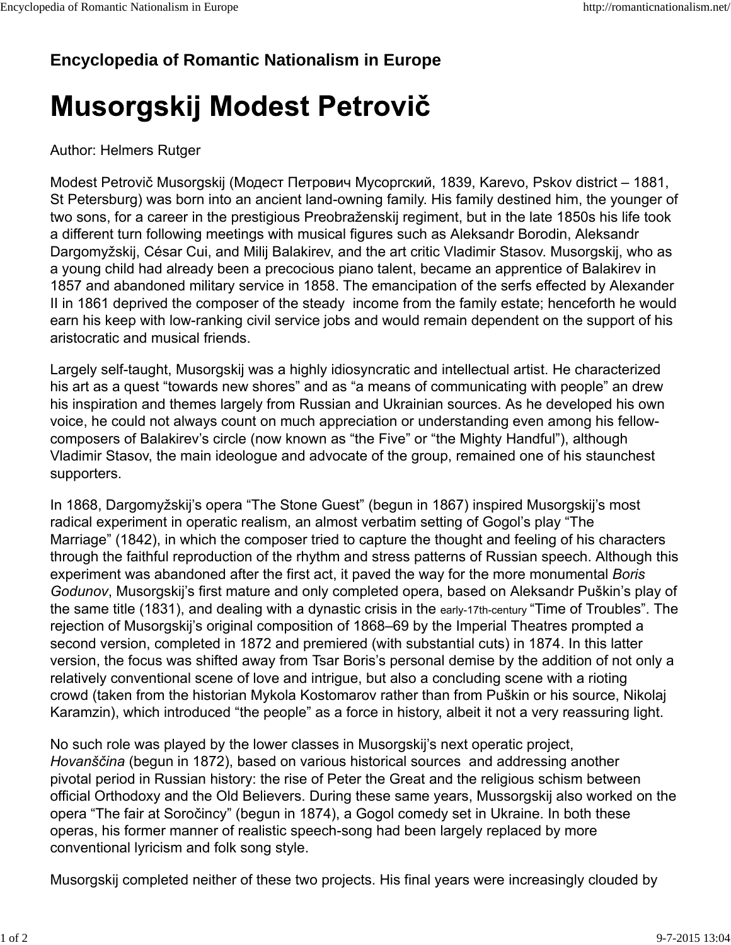## **Encyclopedia of Romantic Nationalism in Europe**

# Musorgskij Modest Petrovič

## Author: Helmers Rutger

Modest Petrovič Musorgskij (Модест Петрович Мусоргский, 1839, Karevo, Pskov district – 1881, St Petersburg) was born into an ancient land-owning family. His family destined him, the younger of two sons, for a career in the prestigious Preobraženskij regiment, but in the late 1850s his life took a different turn following meetings with musical figures such as Aleksandr Borodin, Aleksandr Dargomyžskij, César Cui, and Milij Balakirev, and the art critic Vladimir Stasov. Musorgskij, who as a young child had already been a precocious piano talent, became an apprentice of Balakirev in 1857 and abandoned military service in 1858. The emancipation of the serfs effected by Alexander II in 1861 deprived the composer of the steady income from the family estate; henceforth he would earn his keep with low-ranking civil service jobs and would remain dependent on the support of his aristocratic and musical friends.

Largely self-taught, Musorgskij was a highly idiosyncratic and intellectual artist. He characterized his art as a quest "towards new shores" and as "a means of communicating with people" an drew his inspiration and themes largely from Russian and Ukrainian sources. As he developed his own voice, he could not always count on much appreciation or understanding even among his fellowcomposers of Balakirev's circle (now known as "the Five" or "the Mighty Handful"), although Vladimir Stasov, the main ideologue and advocate of the group, remained one of his staunchest supporters.

In 1868, Dargomyžskij's opera "The Stone Guest" (begun in 1867) inspired Musorgskij's most radical experiment in operatic realism, an almost verbatim setting of Gogol's play "The Marriage" (1842), in which the composer tried to capture the thought and feeling of his characters through the faithful reproduction of the rhythm and stress patterns of Russian speech. Although this experiment was abandoned after the first act, it paved the way for the more monumental *Boris Godunov*, Musorgskij's first mature and only completed opera, based on Aleksandr Puškin's play of the same title (1831), and dealing with a dynastic crisis in the early-17th-century "Time of Troubles". The rejection of Musorgskij's original composition of 1868–69 by the Imperial Theatres prompted a second version, completed in 1872 and premiered (with substantial cuts) in 1874. In this latter version, the focus was shifted away from Tsar Boris's personal demise by the addition of not only a relatively conventional scene of love and intrigue, but also a concluding scene with a rioting crowd (taken from the historian Mykola Kostomarov rather than from Puškin or his source, Nikolaj Karamzin), which introduced "the people" as a force in history, albeit it not a very reassuring light.

No such role was played by the lower classes in Musorgskij's next operatic project, *Hovanščina* (begun in 1872), based on various historical sources and addressing another pivotal period in Russian history: the rise of Peter the Great and the religious schism between official Orthodoxy and the Old Believers. During these same years, Mussorgskij also worked on the opera "The fair at Soročincy" (begun in 1874), a Gogol comedy set in Ukraine. In both these operas, his former manner of realistic speech-song had been largely replaced by more conventional lyricism and folk song style.

Musorgskij completed neither of these two projects. His final years were increasingly clouded by